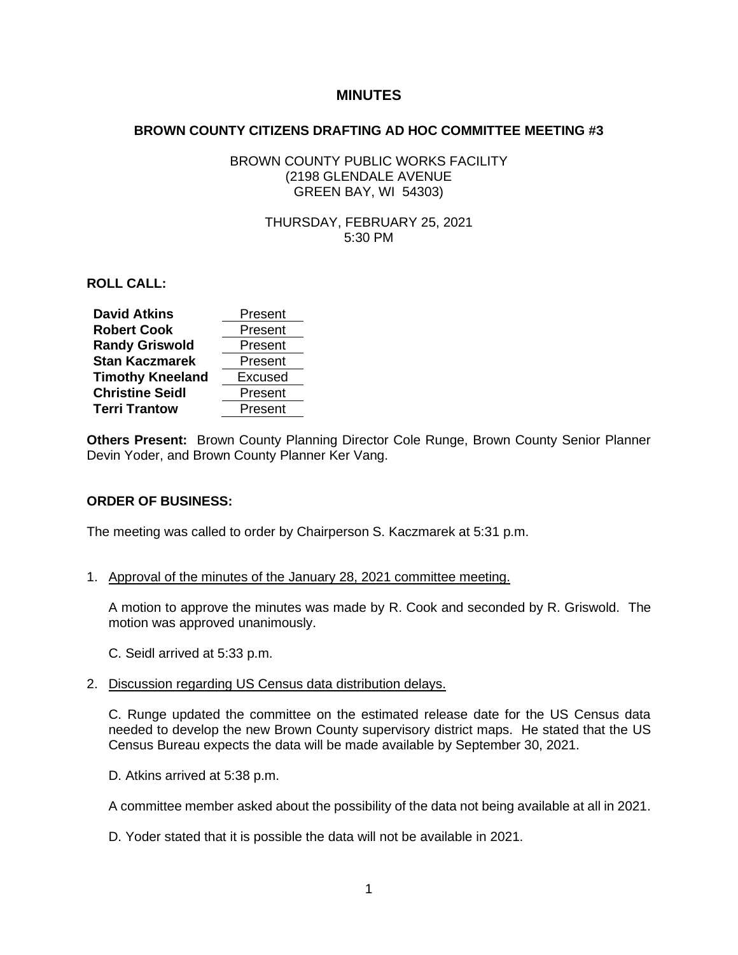# **MINUTES**

#### **BROWN COUNTY CITIZENS DRAFTING AD HOC COMMITTEE MEETING #3**

### BROWN COUNTY PUBLIC WORKS FACILITY (2198 GLENDALE AVENUE GREEN BAY, WI 54303)

### THURSDAY, FEBRUARY 25, 2021 5:30 PM

**ROLL CALL:**

| <b>David Atkins</b>     | Present |
|-------------------------|---------|
| <b>Robert Cook</b>      | Present |
| <b>Randy Griswold</b>   | Present |
| <b>Stan Kaczmarek</b>   | Present |
| <b>Timothy Kneeland</b> | Excused |
| <b>Christine Seidl</b>  | Present |
| <b>Terri Trantow</b>    | Present |

**Others Present:** Brown County Planning Director Cole Runge, Brown County Senior Planner Devin Yoder, and Brown County Planner Ker Vang.

# **ORDER OF BUSINESS:**

The meeting was called to order by Chairperson S. Kaczmarek at 5:31 p.m.

1. Approval of the minutes of the January 28, 2021 committee meeting.

A motion to approve the minutes was made by R. Cook and seconded by R. Griswold. The motion was approved unanimously.

- C. Seidl arrived at 5:33 p.m.
- 2. Discussion regarding US Census data distribution delays.

C. Runge updated the committee on the estimated release date for the US Census data needed to develop the new Brown County supervisory district maps. He stated that the US Census Bureau expects the data will be made available by September 30, 2021.

D. Atkins arrived at 5:38 p.m.

A committee member asked about the possibility of the data not being available at all in 2021.

D. Yoder stated that it is possible the data will not be available in 2021.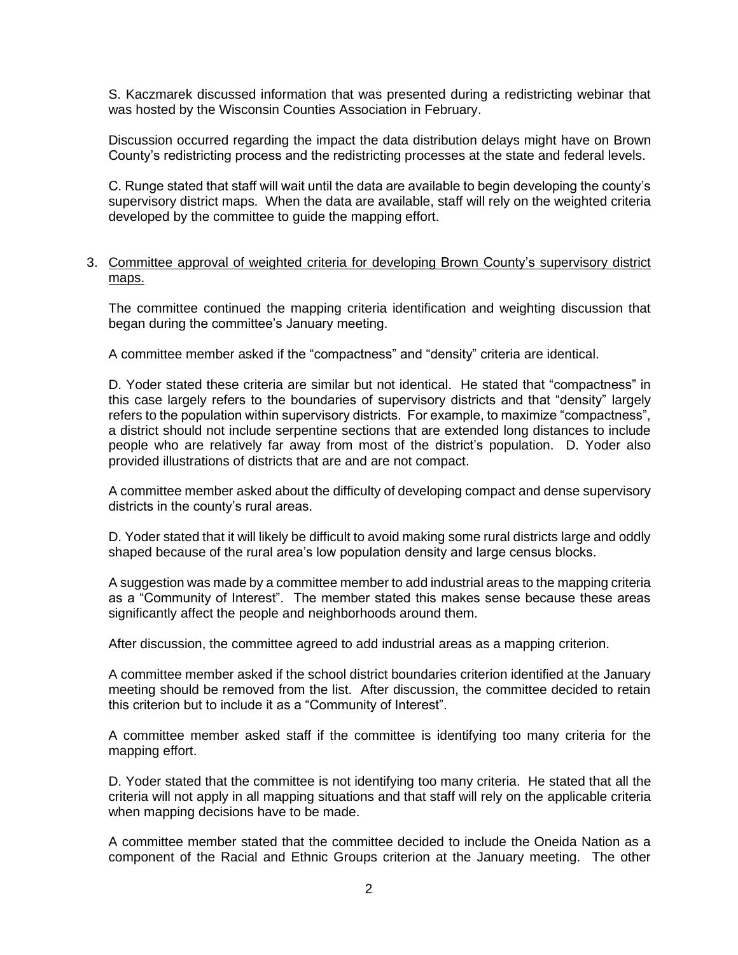S. Kaczmarek discussed information that was presented during a redistricting webinar that was hosted by the Wisconsin Counties Association in February.

Discussion occurred regarding the impact the data distribution delays might have on Brown County's redistricting process and the redistricting processes at the state and federal levels.

C. Runge stated that staff will wait until the data are available to begin developing the county's supervisory district maps. When the data are available, staff will rely on the weighted criteria developed by the committee to guide the mapping effort.

#### 3. Committee approval of weighted criteria for developing Brown County's supervisory district maps.

The committee continued the mapping criteria identification and weighting discussion that began during the committee's January meeting.

A committee member asked if the "compactness" and "density" criteria are identical.

D. Yoder stated these criteria are similar but not identical. He stated that "compactness" in this case largely refers to the boundaries of supervisory districts and that "density" largely refers to the population within supervisory districts. For example, to maximize "compactness", a district should not include serpentine sections that are extended long distances to include people who are relatively far away from most of the district's population. D. Yoder also provided illustrations of districts that are and are not compact.

A committee member asked about the difficulty of developing compact and dense supervisory districts in the county's rural areas.

D. Yoder stated that it will likely be difficult to avoid making some rural districts large and oddly shaped because of the rural area's low population density and large census blocks.

A suggestion was made by a committee member to add industrial areas to the mapping criteria as a "Community of Interest". The member stated this makes sense because these areas significantly affect the people and neighborhoods around them.

After discussion, the committee agreed to add industrial areas as a mapping criterion.

A committee member asked if the school district boundaries criterion identified at the January meeting should be removed from the list. After discussion, the committee decided to retain this criterion but to include it as a "Community of Interest".

A committee member asked staff if the committee is identifying too many criteria for the mapping effort.

D. Yoder stated that the committee is not identifying too many criteria. He stated that all the criteria will not apply in all mapping situations and that staff will rely on the applicable criteria when mapping decisions have to be made.

A committee member stated that the committee decided to include the Oneida Nation as a component of the Racial and Ethnic Groups criterion at the January meeting. The other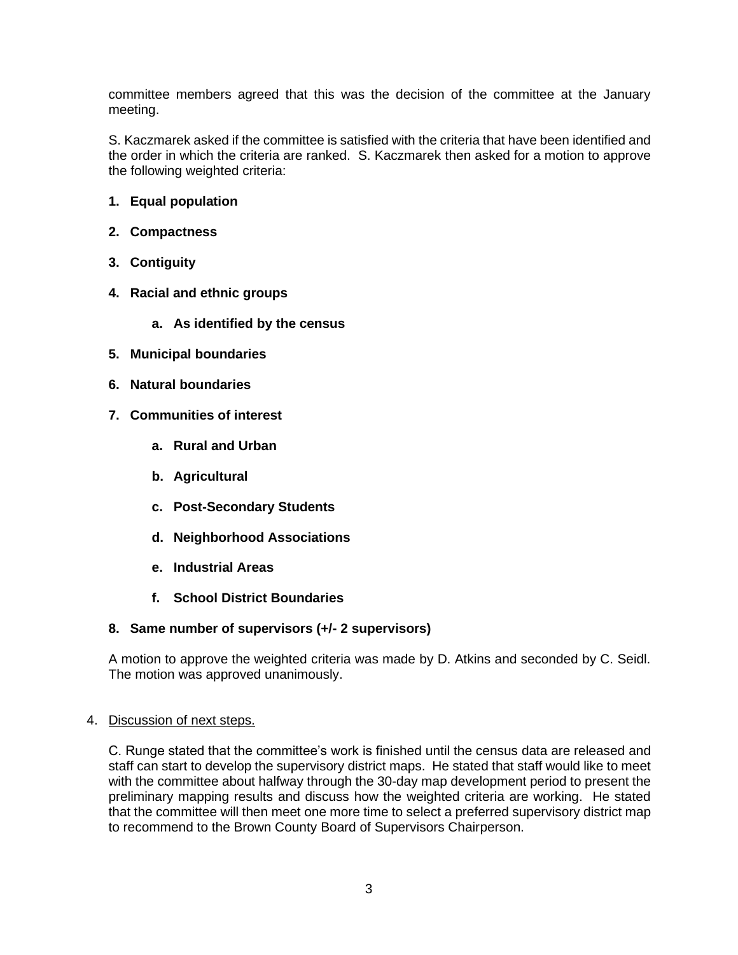committee members agreed that this was the decision of the committee at the January meeting.

S. Kaczmarek asked if the committee is satisfied with the criteria that have been identified and the order in which the criteria are ranked. S. Kaczmarek then asked for a motion to approve the following weighted criteria:

- **1. Equal population**
- **2. Compactness**
- **3. Contiguity**
- **4. Racial and ethnic groups**
	- **a. As identified by the census**
- **5. Municipal boundaries**
- **6. Natural boundaries**
- **7. Communities of interest**
	- **a. Rural and Urban**
	- **b. Agricultural**
	- **c. Post-Secondary Students**
	- **d. Neighborhood Associations**
	- **e. Industrial Areas**
	- **f. School District Boundaries**

# **8. Same number of supervisors (+/- 2 supervisors)**

A motion to approve the weighted criteria was made by D. Atkins and seconded by C. Seidl. The motion was approved unanimously.

# 4. Discussion of next steps.

C. Runge stated that the committee's work is finished until the census data are released and staff can start to develop the supervisory district maps. He stated that staff would like to meet with the committee about halfway through the 30-day map development period to present the preliminary mapping results and discuss how the weighted criteria are working. He stated that the committee will then meet one more time to select a preferred supervisory district map to recommend to the Brown County Board of Supervisors Chairperson.